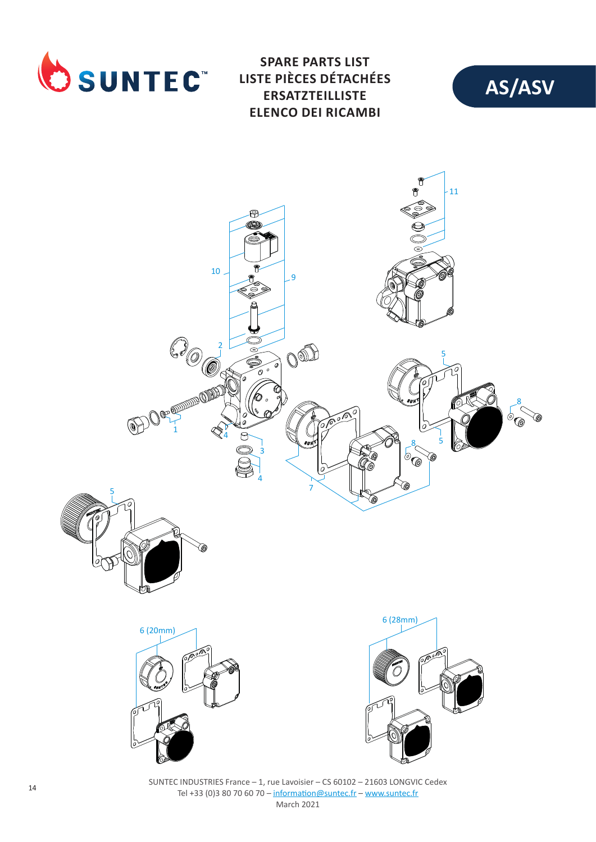

**SPARE PARTS LIST LISTE PIÈCES DÉTACHÉES ERSATZTEILLISTE ELENCO DEI RICAMBI**





SUNTEC INDUSTRIES France – 1, rue Lavoisier – CS 60102 – 21603 LONGVIC Cedex Tel +33 (0)3 80 70 60 70 – information@suntec.fr – www.suntec.fr March 2021